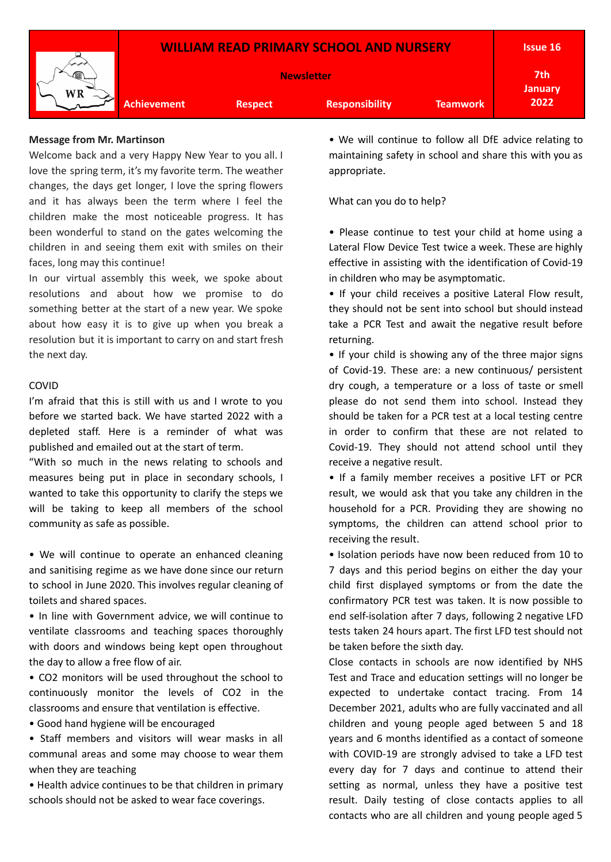

## **Message from Mr. Martinson**

Welcome back and a very Happy New Year to you all. I love the spring term, it's my favorite term. The weather changes, the days get longer, I love the spring flowers and it has always been the term where I feel the children make the most noticeable progress. It has been wonderful to stand on the gates welcoming the children in and seeing them exit with smiles on their faces, long may this continue!

In our virtual assembly this week, we spoke about resolutions and about how we promise to do something better at the start of a new year. We spoke about how easy it is to give up when you break a resolution but it is important to carry on and start fresh the next day.

## COVID

I'm afraid that this is still with us and I wrote to you before we started back. We have started 2022 with a depleted staff. Here is a reminder of what was published and emailed out at the start of term.

"With so much in the news relating to schools and measures being put in place in secondary schools, I wanted to take this opportunity to clarify the steps we will be taking to keep all members of the school community as safe as possible.

• We will continue to operate an enhanced cleaning and sanitising regime as we have done since our return to school in June 2020. This involves regular cleaning of toilets and shared spaces.

• In line with Government advice, we will continue to ventilate classrooms and teaching spaces thoroughly with doors and windows being kept open throughout the day to allow a free flow of air.

• CO2 monitors will be used throughout the school to continuously monitor the levels of CO2 in the classrooms and ensure that ventilation is effective.

- Good hand hygiene will be encouraged
- Staff members and visitors will wear masks in all communal areas and some may choose to wear them when they are teaching

• Health advice continues to be that children in primary schools should not be asked to wear face coverings.

• We will continue to follow all DfE advice relating to maintaining safety in school and share this with you as appropriate.

What can you do to help?

• Please continue to test your child at home using a Lateral Flow Device Test twice a week. These are highly effective in assisting with the identification of Covid-19 in children who may be asymptomatic.

• If your child receives a positive Lateral Flow result, they should not be sent into school but should instead take a PCR Test and await the negative result before returning.

• If your child is showing any of the three major signs of Covid-19. These are: a new continuous/ persistent dry cough, a temperature or a loss of taste or smell please do not send them into school. Instead they should be taken for a PCR test at a local testing centre in order to confirm that these are not related to Covid-19. They should not attend school until they receive a negative result.

• If a family member receives a positive LFT or PCR result, we would ask that you take any children in the household for a PCR. Providing they are showing no symptoms, the children can attend school prior to receiving the result.

• Isolation periods have now been reduced from 10 to 7 days and this period begins on either the day your child first displayed symptoms or from the date the confirmatory PCR test was taken. It is now possible to end self-isolation after 7 days, following 2 negative LFD tests taken 24 hours apart. The first LFD test should not be taken before the sixth day.

Close contacts in schools are now identified by NHS Test and Trace and education settings will no longer be expected to undertake contact tracing. From 14 December 2021, adults who are fully vaccinated and all children and young people aged between 5 and 18 years and 6 months identified as a contact of someone with COVID-19 are strongly advised to take a LFD test every day for 7 days and continue to attend their setting as normal, unless they have a positive test result. Daily testing of close contacts applies to all contacts who are all children and young people aged 5